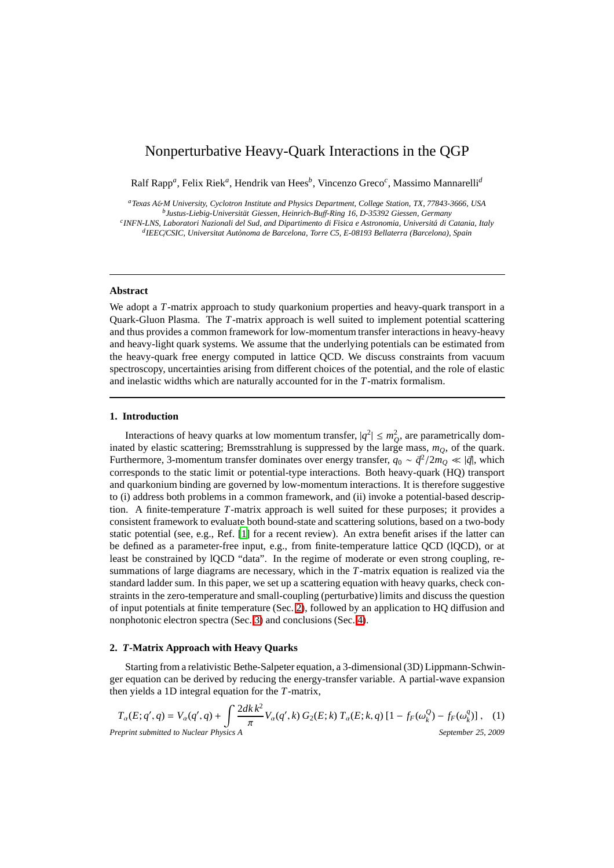# Nonperturbative Heavy-Quark Interactions in the QGP

Ralf Rapp*<sup>a</sup>* , Felix Riek*<sup>a</sup>* , Hendrik van Hees*<sup>b</sup>* , Vincenzo Greco*<sup>c</sup>* , Massimo Mannarelli*<sup>d</sup>*

*<sup>a</sup>Texas A*&*M University, Cyclotron Institute and Physics Department, College Station, TX, 77843-3666, USA b Justus-Liebig-Universit¨at Giessen, Heinrich-Bu*ff*-Ring 16, D-35392 Giessen, Germany*

*c INFN-LNS, Laboratori Nazionali del Sud, and Dipartimento di Fisica e Astronomia, Universit´a di Catania, Italy*

<sup>d</sup> IEEC/CSIC, Universitat Autònoma de Barcelona, Torre C5, E-08193 Bellaterra (Barcelona), Spain

# **Abstract**

We adopt a *T*-matrix approach to study quarkonium properties and heavy-quark transport in a Quark-Gluon Plasma. The *T*-matrix approach is well suited to implement potential scattering and thus provides a common framework for low-momentum transfer interactions in heavy-heavy and heavy-light quark systems. We assume that the underlying potentials can be estimated from the heavy-quark free energy computed in lattice QCD. We discuss constraints from vacuum spectroscopy, uncertainties arising from different choices of the potential, and the role of elastic and inelastic widths which are naturally accounted for in the *T*-matrix formalism.

## **1. Introduction**

Interactions of heavy quarks at low momentum transfer,  $|q^2| \le m_Q^2$ , are parametrically dominated by elastic scattering; Bremsstrahlung is suppressed by the large mass, *mQ*, of the quark. Furthermore, 3-momentum transfer dominates over energy transfer,  $q_0 \sim \vec{q}^2/2m_Q \ll |\vec{q}|$ , which corresponds to the static limit or potential-type interactions. Both heavy-quark (HQ) transport and quarkonium binding are governed by low-momentum interactions. It is therefore suggestive to (i) address both problems in a common framework, and (ii) invoke a potential-based description. A finite-temperature *T*-matrix approach is well suited for these purposes; it provides a consistent framework to evaluate both bound-state and scattering solutions, based on a two-body static potential (see, e.g., Ref. [\[1\]](#page-3-0) for a recent review). An extra benefit arises if the latter can be defined as a parameter-free input, e.g., from finite-temperature lattice QCD (lQCD), or at least be constrained by lQCD "data". In the regime of moderate or even strong coupling, resummations of large diagrams are necessary, which in the *T*-matrix equation is realized via the standard ladder sum. In this paper, we set up a scattering equation with heavy quarks, check constraints in the zero-temperature and small-coupling (perturbative) limits and discuss the question of input potentials at finite temperature (Sec. [2\)](#page-0-0), followed by an application to HQ diffusion and nonphotonic electron spectra (Sec. [3\)](#page-1-0) and conclusions (Sec. [4\)](#page-3-1).

# <span id="page-0-0"></span>**2.** *T***-Matrix Approach with Heavy Quarks**

Starting from a relativistic Bethe-Salpeter equation, a 3-dimensional (3D) Lippmann-Schwinger equation can be derived by reducing the energy-transfer variable. A partial-wave expansion then yields a 1D integral equation for the *T*-matrix,

<span id="page-0-1"></span>
$$
T_{\alpha}(E;q',q) = V_{\alpha}(q',q) + \int \frac{2dk k^2}{\pi} V_{\alpha}(q',k) G_2(E;k) T_{\alpha}(E;k,q) [1 - f_F(\omega_k^Q) - f_F(\omega_k^q)], \quad (1)
$$
  
Preprint submitted to Nuclear Physics A  
September 25, 2009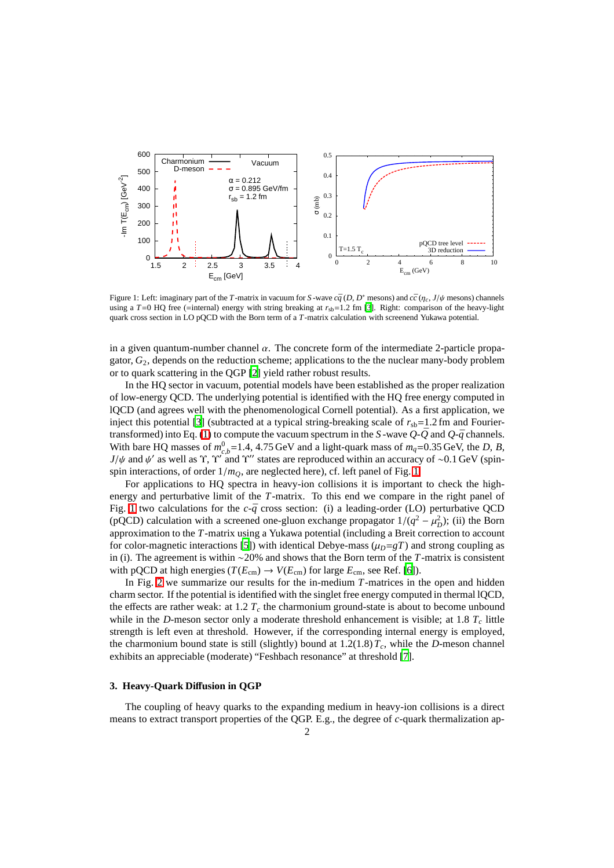

<span id="page-1-1"></span>Figure 1: Left: imaginary part of the *T*-matrix in vacuum for *S*-wave  $c\bar{q}$  (*D*, *D*<sup>\*</sup> mesons) and  $c\bar{c}$  ( $\eta_c$ , *J*/ $\psi$  mesons) channels using a  $T=0$  HQ free (=internal) energy with string breaking at  $r_{sb}=1.2$  fm [\[3\]](#page-3-2). Right: comparison of the heavy-light quark cross section in LO pQCD with the Born term of a *T*-matrix calculation with screenend Yukawa potential.

in a given quantum-number channel  $\alpha$ . The concrete form of the intermediate 2-particle propagator, *G*2, depends on the reduction scheme; applications to the the nuclear many-body problem or to quark scattering in the QGP [\[2](#page-3-3)] yield rather robust results.

In the HQ sector in vacuum, potential models have been established as the proper realization of low-energy QCD. The underlying potential is identified with the HQ free energy computed in lQCD (and agrees well with the phenomenological Cornell potential). As a first application, we inject this potential [\[3\]](#page-3-2) (subtracted at a typical string-breaking scale of  $r_{sb}=1.2$  fm and Fourier-transformed) into Eq. [\(1\)](#page-0-1) to compute the vacuum spectrum in the *S*-wave  $Q$ - $\bar{Q}$  and  $Q$ - $\bar{q}$  channels. With bare HQ masses of  $m_{c,b}^0$  = 1.4, 4.75 GeV and a light-quark mass of  $m_q$  = 0.35 GeV, the *D*, *B*, *J*/ $\psi$  and  $\psi'$  as well as Υ, Υ' and Υ'' states are reproduced within an accuracy of ~0.1 GeV (spinspin interactions, of order  $1/m<sub>O</sub>$ , are neglected here), cf. left panel of Fig. [1.](#page-1-1)

For applications to HQ spectra in heavy-ion collisions it is important to check the highenergy and perturbative limit of the *T*-matrix. To this end we compare in the right panel of Fig. [1](#page-1-1) two calculations for the  $c$ - $\bar{q}$  cross section: (i) a leading-order (LO) perturbative QCD (pQCD) calculation with a screened one-gluon exchange propagator  $1/(q^2 - \mu_D^2)$ ; (ii) the Born approximation to the *T*-matrix using a Yukawa potential (including a Breit correction to account for color-magnetic interactions [\[5](#page-3-4)]) with identical Debye-mass  $(\mu_D = gT)$  and strong coupling as in (i). The agreement is within ∼20% and shows that the Born term of the *T*-matrix is consistent with pQCD at high energies ( $T(E_{cm}) \rightarrow V(E_{cm})$  for large  $E_{cm}$ , see Ref. [\[6](#page-3-5)]).

In Fig. [2](#page-2-0) we summarize our results for the in-medium *T*-matrices in the open and hidden charm sector. If the potential is identified with the singlet free energy computed in thermal lQCD, the effects are rather weak: at 1.2 *T<sup>c</sup>* the charmonium ground-state is about to become unbound while in the *D*-meson sector only a moderate threshold enhancement is visible; at 1.8  $T_c$  little strength is left even at threshold. However, if the corresponding internal energy is employed, the charmonium bound state is still (slightly) bound at  $1.2(1.8)T_c$ , while the *D*-meson channel exhibits an appreciable (moderate) "Feshbach resonance" at threshold [\[7\]](#page-3-6).

#### <span id="page-1-0"></span>**3. Heavy-Quark Di**ff**usion in QGP**

The coupling of heavy quarks to the expanding medium in heavy-ion collisions is a direct means to extract transport properties of the QGP. E.g., the degree of *c*-quark thermalization ap-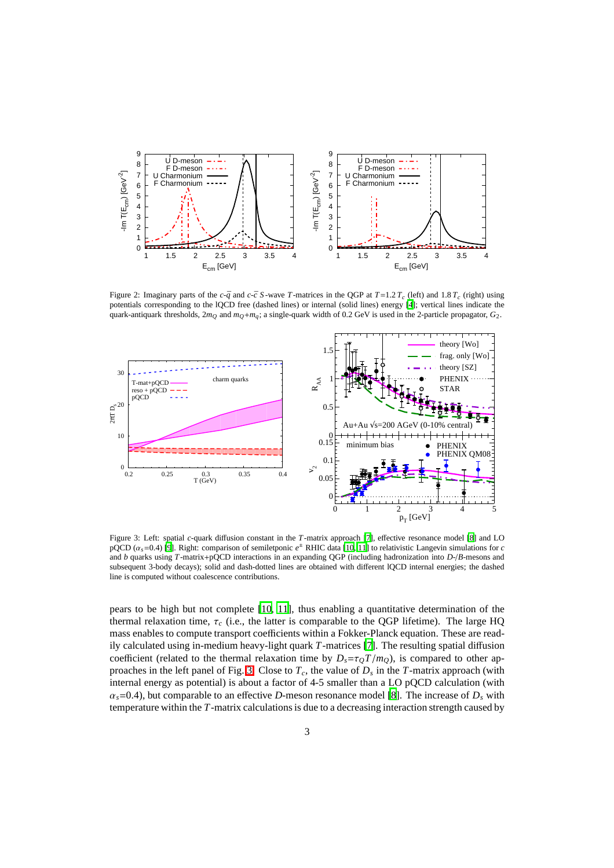

Figure 2: Imaginary parts of the  $c$ - $\bar{q}$  and  $c$ - $\bar{c}$  *S*-wave *T*-matrices in the QGP at  $T=1.2 T_c$  (left) and 1.8  $T_c$  (right) using potentials corresponding to the lQCD free (dashed lines) or internal (solid lines) energy [\[4](#page-3-7)]; vertical lines indicate the quark-antiquark thresholds, 2*m<sup>Q</sup>* and *mQ*+*mq*; a single-quark width of 0.2 GeV is used in the 2-particle propagator, *G*2.

<span id="page-2-0"></span>

<span id="page-2-1"></span>Figure 3: Left: spatial *c*-quark diffusion constant in the *T*-matrix approach [\[7\]](#page-3-6), effective resonance model [\[8](#page-3-8)] and LO pQCD (α*s*=0.4) [\[9\]](#page-3-9). Right: comparison of semiletponic *e* <sup>±</sup> RHIC data [\[10](#page-3-10), [11](#page-3-11)] to relativistic Langevin simulations for *c* and *b* quarks using *T*-matrix+pQCD interactions in an expanding QGP (including hadronization into *D*-/*B*-mesons and subsequent 3-body decays); solid and dash-dotted lines are obtained with different lQCD internal energies; the dashed line is computed without coalescence contributions.

pears to be high but not complete [\[10](#page-3-10), [11](#page-3-11)], thus enabling a quantitative determination of the thermal relaxation time,  $\tau_c$  (i.e., the latter is comparable to the QGP lifetime). The large HQ mass enables to compute transport coefficients within a Fokker-Planck equation. These are readily calculated using in-medium heavy-light quark *T*-matrices [\[7\]](#page-3-6). The resulting spatial diffusion coefficient (related to the thermal relaxation time by  $D_s = \tau_Q T/m_Q$ ), is compared to other approaches in the left panel of Fig. [3.](#page-2-1) Close to *Tc*, the value of *D<sup>s</sup>* in the *T*-matrix approach (with internal energy as potential) is about a factor of 4-5 smaller than a LO pQCD calculation (with  $\alpha_s$ =0.4), but comparable to an effective *D*-meson resonance model [\[8\]](#page-3-8). The increase of  $D_s$  with temperature within the *T*-matrix calculations is due to a decreasing interaction strength caused by